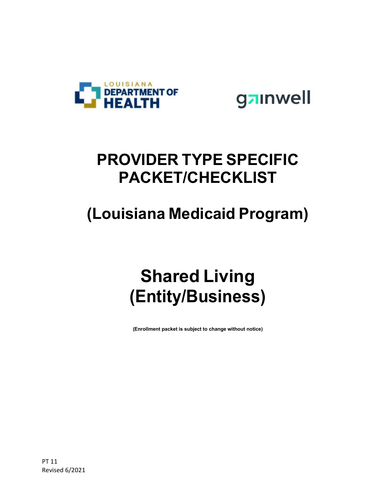



#### **PROVIDER TYPE SPECIFIC PACKET/CHECKLIST**

### **(Louisiana Medicaid Program)**

## **Shared Living (Entity/Business)**

**(Enrollment packet is subject to change without notice)**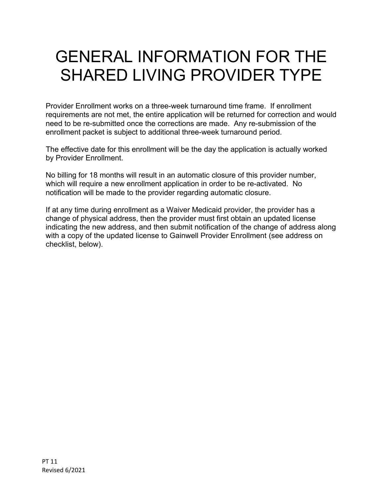### GENERAL INFORMATION FOR THE SHARED LIVING PROVIDER TYPE

Provider Enrollment works on a three-week turnaround time frame. If enrollment requirements are not met, the entire application will be returned for correction and would need to be re-submitted once the corrections are made. Any re-submission of the enrollment packet is subject to additional three-week turnaround period.

The effective date for this enrollment will be the day the application is actually worked by Provider Enrollment.

No billing for 18 months will result in an automatic closure of this provider number, which will require a new enrollment application in order to be re-activated. No notification will be made to the provider regarding automatic closure.

If at any time during enrollment as a Waiver Medicaid provider, the provider has a change of physical address, then the provider must first obtain an updated license indicating the new address, and then submit notification of the change of address along with a copy of the updated license to Gainwell Provider Enrollment (see address on checklist, below).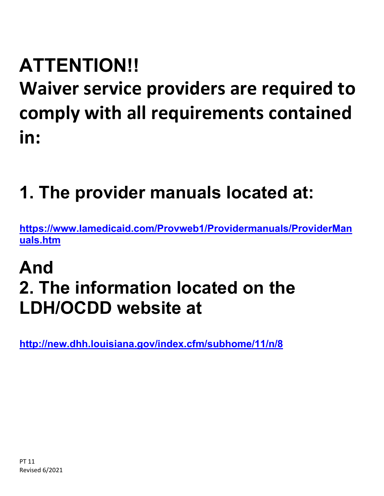# **ATTENTION!! Waiver service providers are required to comply with all requirements contained in:**

## **1. The provider manuals located at:**

**[https://www.lamedicaid.com/Provweb1/Providermanuals/ProviderMan](https://www.lamedicaid.com/Provweb1/Providermanuals/ProviderManuals.htm) [uals.htm](https://www.lamedicaid.com/Provweb1/Providermanuals/ProviderManuals.htm)**

## **And 2. The information located on the LDH/OCDD website at**

**<http://new.dhh.louisiana.gov/index.cfm/subhome/11/n/8>**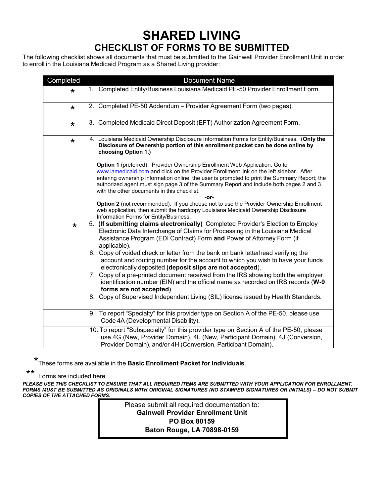#### **SHARED LIVING**

#### **CHECKLIST OF FORMS TO BE SUBMITTED**

The following checklist shows all documents that must be submitted to the Gainwell Provider Enrollment Unit in order to enroll in the Louisiana Medicaid Program as a Shared Living provider:

| Completed | <b>Document Name</b>                                                                                                                                                                                                                                                                                                                                                                                                   |
|-----------|------------------------------------------------------------------------------------------------------------------------------------------------------------------------------------------------------------------------------------------------------------------------------------------------------------------------------------------------------------------------------------------------------------------------|
| $\star$   | 1. Completed Entity/Business Louisiana Medicaid PE-50 Provider Enrollment Form.                                                                                                                                                                                                                                                                                                                                        |
| $\star$   | 2. Completed PE-50 Addendum - Provider Agreement Form (two pages).                                                                                                                                                                                                                                                                                                                                                     |
| $\star$   | 3. Completed Medicaid Direct Deposit (EFT) Authorization Agreement Form.                                                                                                                                                                                                                                                                                                                                               |
| $\star$   | 4. Louisiana Medicaid Ownership Disclosure Information Forms for Entity/Business. (Only the<br>Disclosure of Ownership portion of this enrollment packet can be done online by<br>choosing Option 1.)                                                                                                                                                                                                                  |
|           | Option 1 (preferred): Provider Ownership Enrollment Web Application. Go to<br>www.lamedicaid.com and click on the Provider Enrollment link on the left sidebar. After<br>entering ownership information online, the user is prompted to print the Summary Report; the<br>authorized agent must sign page 3 of the Summary Report and include both pages 2 and 3<br>with the other documents in this checklist.<br>-or- |
|           | Option 2 (not recommended): If you choose not to use the Provider Ownership Enrollment<br>web application, then submit the hardcopy Louisiana Medicaid Ownership Disclosure<br>Information Forms for Entity/Business.                                                                                                                                                                                                  |
| $\star$   | 5. (If submitting claims electronically) Completed Provider's Election to Employ<br>Electronic Data Interchange of Claims for Processing in the Louisiana Medical<br>Assistance Program (EDI Contract) Form and Power of Attorney Form (if<br>applicable).                                                                                                                                                             |
|           | 6. Copy of voided check or letter from the bank on bank letterhead verifying the<br>account and routing number for the account to which you wish to have your funds<br>electronically deposited (deposit slips are not accepted).                                                                                                                                                                                      |
|           | 7. Copy of a pre-printed document received from the IRS showing both the employer<br>identification number (EIN) and the official name as recorded on IRS records (W-9<br>forms are not accepted).                                                                                                                                                                                                                     |
|           | 8. Copy of Supervised Independent Living (SIL) license issued by Health Standards.                                                                                                                                                                                                                                                                                                                                     |
|           | 9. To report "Specialty" for this provider type on Section A of the PE-50, please use<br>Code 4A (Developmental Disability).                                                                                                                                                                                                                                                                                           |
|           | 10. To report "Subspecialty" for this provider type on Section A of the PE-50, please<br>use 4G (New, Provider Domain), 4L (New, Participant Domain), 4J (Conversion,<br>Provider Domain), and/or 4H (Conversion, Participant Domain).                                                                                                                                                                                 |

\* These forms are available in the **Basic Enrollment Packet for Individuals**.

\*\* Forms are included here.

*PLEASE USE THIS CHECKLIST TO ENSURE THAT ALL REQUIRED ITEMS ARE SUBMITTED WITH YOUR APPLICATION FOR ENROLLMENT.* FORMS MUST BE SUBMITTED AS ORIGINALS WITH ORIGINAL SIGNATURES (NO STAMPED SIGNATURES OR INITIALS) – DO NOT SUBMIT *COPIES OF THE ATTACHED FORMS.*

> Please submit all required documentation to: **Gainwell Provider Enrollment Unit PO Box 80159 Baton Rouge, LA 70898-0159**